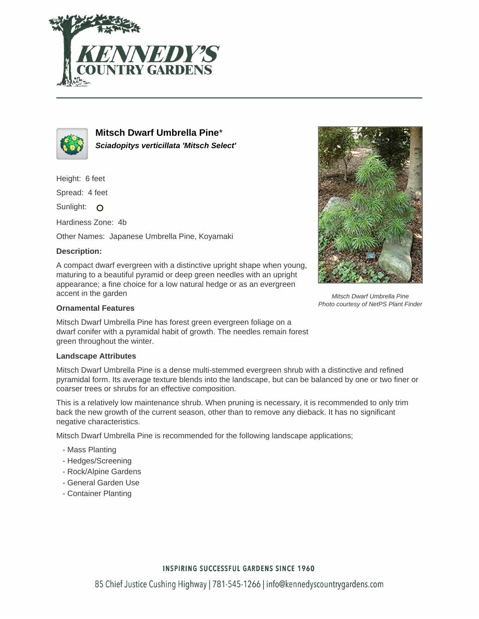



**Mitsch Dwarf Umbrella Pine**\* **Sciadopitys verticillata 'Mitsch Select'**

Height: 6 feet

Spread: 4 feet

Sunlight: O

Hardiness Zone: 4b

Other Names: Japanese Umbrella Pine, Koyamaki

## **Description:**

A compact dwarf evergreen with a distinctive upright shape when young, maturing to a beautiful pyramid or deep green needles with an upright appearance; a fine choice for a low natural hedge or as an evergreen accent in the garden

## **Ornamental Features**

Mitsch Dwarf Umbrella Pine has forest green evergreen foliage on a dwarf conifer with a pyramidal habit of growth. The needles remain forest green throughout the winter.

## **Landscape Attributes**

Mitsch Dwarf Umbrella Pine is a dense multi-stemmed evergreen shrub with a distinctive and refined pyramidal form. Its average texture blends into the landscape, but can be balanced by one or two finer or coarser trees or shrubs for an effective composition.

This is a relatively low maintenance shrub. When pruning is necessary, it is recommended to only trim back the new growth of the current season, other than to remove any dieback. It has no significant negative characteristics.

Mitsch Dwarf Umbrella Pine is recommended for the following landscape applications;

- Mass Planting
- Hedges/Screening
- Rock/Alpine Gardens
- General Garden Use
- Container Planting



Mitsch Dwarf Umbrella Pine Photo courtesy of NetPS Plant Finder